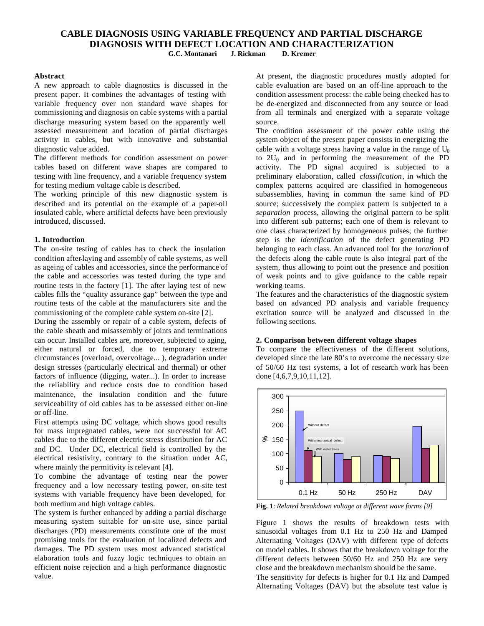# **CABLE DIAGNOSIS USING VARIABLE FREQUENCY AND PARTIAL DISCHARGE DIAGNOSIS WITH DEFECT LOCATION AND CHARACTERIZATION G.C. Montanari J. Rickman D. Kremer**

# **Abstract**

A new approach to cable diagnostics is discussed in the present paper. It combines the advantages of testing with variable frequency over non standard wave shapes for commissioning and diagnosis on cable systems with a partial discharge measuring system based on the apparently well assessed measurement and location of partial discharges activity in cables, but with innovative and substantial diagnostic value added.

The different methods for condition assessment on power cables based on different wave shapes are compared to testing with line frequency, and a variable frequency system for testing medium voltage cable is described.

The working principle of this new diagnostic system is described and its potential on the example of a paper-oil insulated cable, where artificial defects have been previously introduced, discussed.

## **1. Introduction**

The on-site testing of cables has to check the insulation condition after laying and assembly of cable systems, as well as ageing of cables and accessories, since the performance of the cable and accessories was tested during the type and routine tests in the factory [1]. The after laying test of new cables fills the "quality assurance gap" between the type and routine tests of the cable at the manufacturers site and the commissioning of the complete cable system on-site [2].

During the assembly or repair of a cable system, defects of the cable sheath and misassembly of joints and terminations can occur. Installed cables are, moreover, subjected to aging, either natural or forced, due to temporary extreme circumstances (overload, overvoltage... ), degradation under design stresses (particularly electrical and thermal) or other factors of influence (digging, water...). In order to increase the reliability and reduce costs due to condition based maintenance, the insulation condition and the future serviceability of old cables has to be assessed either on-line or off-line.

First attempts using DC voltage, which shows good results for mass impregnated cables, were not successful for AC cables due to the different electric stress distribution for AC and DC. Under DC, electrical field is controlled by the electrical resistivity, contrary to the situation under AC, where mainly the permitivity is relevant [4].

To combine the advantage of testing near the power frequency and a low necessary testing power, on-site test systems with variable frequency have been developed, for both medium and high voltage cables.

The system is further enhanced by adding a partial discharge measuring system suitable for on-site use, since partial discharges (PD) measurements constitute one of the most promising tools for the evaluation of localized defects and damages. The PD system uses most advanced statistical elaboration tools and fuzzy logic techniques to obtain an efficient noise rejection and a high performance diagnostic value.

At present, the diagnostic procedures mostly adopted for cable evaluation are based on an off-line approach to the condition assessment process: the cable being checked has to be de-energized and disconnected from any source or load from all terminals and energized with a separate voltage source.

The condition assessment of the power cable using the system object of the present paper consists in energizing the cable with a voltage stress having a value in the range of  $U_0$ to  $2U_0$  and in performing the measurement of the PD activity. The PD signal acquired is subjected to a preliminary elaboration, called *classification*, in which the complex patterns acquired are classified in homogeneous subassemblies, having in common the same kind of PD source; successively the complex pattern is subjected to a *separation* process, allowing the original pattern to be split into different sub patterns; each one of them is relevant to one class characterized by homogeneous pulses; the further step is the *identification* of the defect generating PD belonging to each class. An advanced tool for the *location* of the defects along the cable route is also integral part of the system, thus allowing to point out the presence and position of weak points and to give guidance to the cable repair working teams.

The features and the characteristics of the diagnostic system based on advanced PD analysis and variable frequency excitation source will be analyzed and discussed in the following sections.

## **2. Comparison between different voltage shapes**

To compare the effectiveness of the different solutions, developed since the late 80's to overcome the necessary size of 50/60 Hz test systems, a lot of research work has been done [4,6,7,9,10,11,12].



**Fig. 1**: *Related breakdown voltage at different wave forms [9]*

Figure 1 shows the results of breakdown tests with sinusoidal voltages from 0.1 Hz to 250 Hz and Damped Alternating Voltages (DAV) with different type of defects on model cables. It shows that the breakdown voltage for the different defects between 50/60 Hz and 250 Hz are very close and the breakdown mechanism should be the same.

The sensitivity for defects is higher for 0.1 Hz and Damped Alternating Voltages (DAV) but the absolute test value is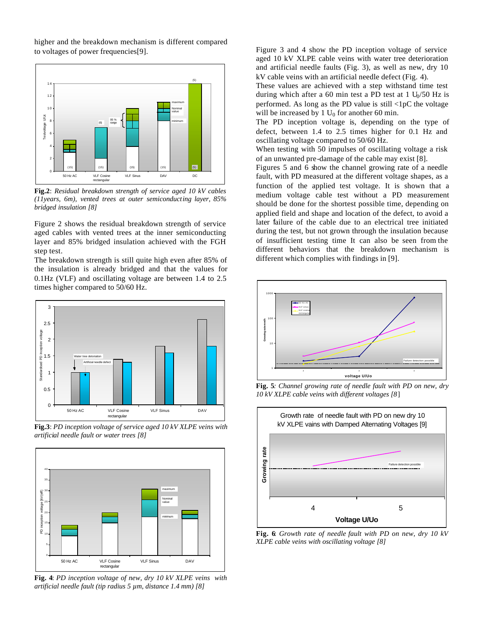higher and the breakdown mechanism is different compared to voltages of power frequencies[9].



**Fig.2**: *Residual breakdown strength of service aged 10 kV cables (11years, 6m), vented trees at outer semiconducting layer, 85% bridged insulation [8]* 

Figure 2 shows the residual breakdown strength of service aged cables with vented trees at the inner semiconducting layer and 85% bridged insulation achieved with the FGH step test.

The breakdown strength is still quite high even after 85% of the insulation is already bridged and that the values for 0.1Hz (VLF) and oscillating voltage are between 1.4 to 2.5 times higher compared to 50/60 Hz.



**Fig.3**: *PD inception voltage of service aged 10 kV XLPE veins with artificial needle fault or water trees [8]*



**Fig. 4**: *PD inception voltage of new, dry 10 kV XLPE veins with artificial needle fault (tip radius 5 µm, distance 1.4 mm) [8]*

Figure 3 and 4 show the PD inception voltage of service aged 10 kV XLPE cable veins with water tree deterioration and artificial needle faults (Fig. 3), as well as new, dry 10 kV cable veins with an artificial needle defect (Fig. 4).

These values are achieved with a step withstand time test during which after a 60 min test a PD test at 1  $U_0/50$  Hz is performed. As long as the PD value is still <1pC the voltage will be increased by 1  $U_0$  for another 60 min.

The PD inception voltage is, depending on the type of defect, between 1.4 to 2.5 times higher for 0.1 Hz and oscillating voltage compared to 50/60 Hz.

When testing with 50 impulses of oscillating voltage a risk of an unwanted pre-damage of the cable may exist [8].

Figures 5 and 6 show the channel growing rate of a needle fault, with PD measured at the different voltage shapes, as a function of the applied test voltage. It is shown that a medium voltage cable test without a PD measurement should be done for the shortest possible time, depending on applied field and shape and location of the defect, to avoid a later failure of the cable due to an electrical tree initiated during the test, but not grown through the insulation because of insufficient testing time It can also be seen from the different behaviors that the breakdown mechanism is different which complies with findings in [9].



**Fig. 5***: Channel growing rate of needle fault with PD on new, dry 10 kV XLPE cable veins with different voltages [8*]



**Fig. 6**: *Growth rate of needle fault with PD on new, dry 10 kV XLPE cable veins with oscillating voltage [8]*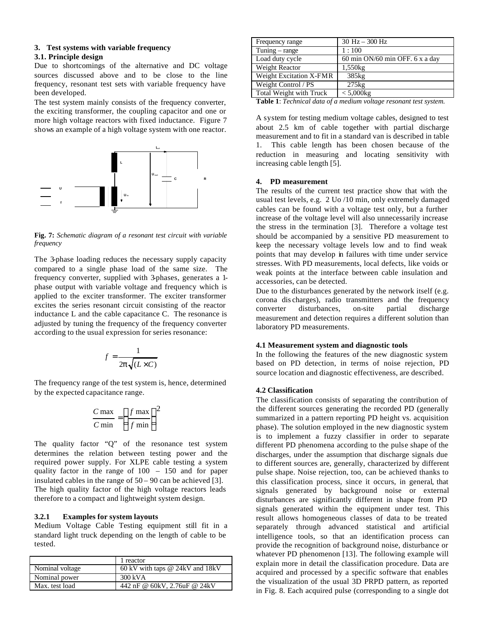# **3. Test systems with variable frequency**

# **3.1. Principle design**

Due to shortcomings of the alternative and DC voltage sources discussed above and to be close to the line frequency, resonant test sets with variable frequency have been developed.

The test system mainly consists of the frequency converter, the exciting transformer, the coupling capacitor and one or more high voltage reactors with fixed inductance. Figure 7 shows an example of a high voltage system with one reactor.



**Fig. 7:** *Schematic diagram of a resonant test circuit with variable frequency*

The 3-phase loading reduces the necessary supply capacity compared to a single phase load of the same size. The frequency converter, supplied with 3-phases, generates a 1 phase output with variable voltage and frequency which is applied to the exciter transformer. The exciter transformer excites the series resonant circuit consisting of the reactor inductance L and the cable capacitance C. The resonance is adjusted by tuning the frequency of the frequency converter according to the usual expression for series resonance:

$$
f = \frac{1}{2p\sqrt{(L \times C)}}
$$

The frequency range of the test system is, hence, determined by the expected capacitance range.

$$
\frac{C \max}{C \min} = \left(\frac{f \max}{f \min}\right)^2
$$

The quality factor "Q" of the resonance test system determines the relation between testing power and the required power supply. For XLPE cable testing a system quality factor in the range of 100 – 150 and for paper insulated cables in the range of  $50 - 90$  can be achieved [3]. The high quality factor of the high voltage reactors leads therefore to a compact and lightweight system design.

## **3.2.1 Examples for system layouts**

Medium Voltage Cable Testing equipment still fit in a standard light truck depending on the length of cable to be tested.

|                 | 1 reactor                           |
|-----------------|-------------------------------------|
| Nominal voltage | 60 kV with taps $@$ 24 kV and 18 kV |
| Nominal power   | $300 \text{ kVA}$                   |
| Max. test load  | 442 nF @ 60kV, 2.76uF @ 24kV        |

| Frequency range         | $30$ Hz $- 300$ Hz                |
|-------------------------|-----------------------------------|
| Tuning $-$ range        | 1:100                             |
| Load duty cycle         | 60 min $ON/60$ min OFF. 6 x a day |
| Weight Reactor          | 1,550kg                           |
| Weight Excitation X-FMR | 385 <sub>kg</sub>                 |
| Weight Control / PS     | $275$ <sub>kg</sub>               |
| Total Weight with Truck | $< 5,000$ kg                      |

**Table 1**: *Technical data of a medium voltage resonant test system.*

A system for testing medium voltage cables, designed to test about 2.5 km of cable together with partial discharge measurement and to fit in a standard van is described in table 1. This cable length has been chosen because of the reduction in measuring and locating sensitivity with increasing cable length [5].

## **4. PD measurement**

The results of the current test practice show that with the usual test levels, e.g. 2 Uo /10 min, only extremely damaged cables can be found with a voltage test only, but a further increase of the voltage level will also unnecessarily increase the stress in the termination [3]. Therefore a voltage test should be accompanied by a sensitive PD measurement to keep the necessary voltage levels low and to find weak points that may develop in failures with time under service stresses. With PD measurements, local defects, like voids or weak points at the interface between cable insulation and accessories, can be detected.

Due to the disturbances generated by the network itself (e.g. corona dis charges), radio transmitters and the frequency converter disturbances, on-site partial discharge measurement and detection requires a different solution than laboratory PD measurements.

#### **4.1 Measurement system and diagnostic tools**

In the following the features of the new diagnostic system based on PD detection, in terms of noise rejection, PD source location and diagnostic effectiveness, are described.

# **4.2 Classification**

The classification consists of separating the contribution of the different sources generating the recorded PD (generally summarized in a pattern reporting PD height vs. acquisition phase). The solution employed in the new diagnostic system is to implement a fuzzy classifier in order to separate different PD phenomena according to the pulse shape of the discharges, under the assumption that discharge signals due to different sources are, generally, characterized by different pulse shape. Noise rejection, too, can be achieved thanks to this classification process, since it occurs, in general, that signals generated by background noise or external disturbances are significantly different in shape from PD signals generated within the equipment under test. This result allows homogeneous classes of data to be treated separately through advanced statistical and artificial intelligence tools, so that an identification process can provide the recognition of background noise, disturbance or whatever PD phenomenon [13]. The following example will explain more in detail the classification procedure. Data are acquired and processed by a specific software that enables the visualization of the usual 3D PRPD pattern, as reported in Fig. 8. Each acquired pulse (corresponding to a single dot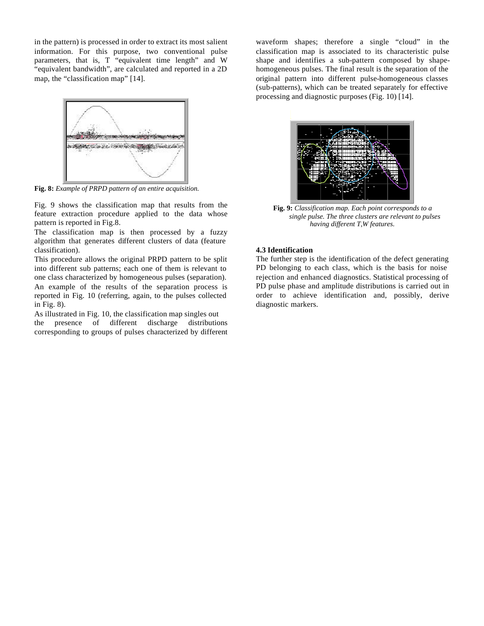in the pattern) is processed in order to extract its most salient information. For this purpose, two conventional pulse parameters, that is, T "equivalent time length" and W "equivalent bandwidth", are calculated and reported in a 2D map, the "classification map" [14].



**Fig. 8:** *Example of PRPD pattern of an entire acquisition.*

Fig. 9 shows the classification map that results from the feature extraction procedure applied to the data whose pattern is reported in Fig.8.

The classification map is then processed by a fuzzy algorithm that generates different clusters of data (feature classification).

This procedure allows the original PRPD pattern to be split into different sub patterns; each one of them is relevant to one class characterized by homogeneous pulses (separation). An example of the results of the separation process is reported in Fig. 10 (referring, again, to the pulses collected in Fig. 8).

As illustrated in Fig. 10, the classification map singles out the presence of different discharge distributions corresponding to groups of pulses characterized by different

waveform shapes; therefore a single "cloud" in the classification map is associated to its characteristic pulse shape and identifies a sub-pattern composed by shapehomogeneous pulses. The final result is the separation of the original pattern into different pulse-homogeneous classes (sub-patterns), which can be treated separately for effective processing and diagnostic purposes (Fig. 10) [14].



**Fig. 9:** *Classification map. Each point corresponds to a single pulse. The three clusters are relevant to pulses having different T,W features.*

## **4.3 Identification**

The further step is the identification of the defect generating PD belonging to each class, which is the basis for noise rejection and enhanced diagnostics. Statistical processing of PD pulse phase and amplitude distributions is carried out in order to achieve identification and, possibly, derive diagnostic markers.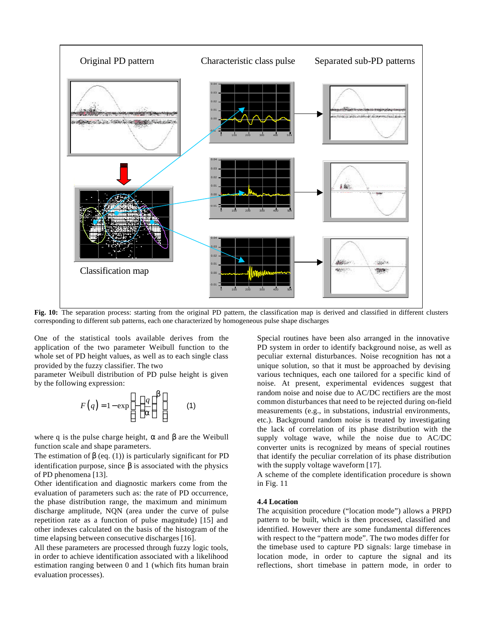

Fig. 10: The separation process: starting from the original PD pattern, the classification map is derived and classified in different clusters corresponding to different sub patterns, each one characterized by homogeneous pulse shape discharges

One of the statistical tools available derives from the application of the two parameter Weibull function to the whole set of PD height values, as well as to each single class provided by the fuzzy classifier. The two

parameter Weibull distribution of PD pulse height is given by the following expression:

$$
F(q) = 1 - \exp\left[-\left(\frac{q}{a}\right)^b\right] \tag{1}
$$

where q is the pulse charge height,  $\alpha$  and  $\beta$  are the Weibull function scale and shape parameters.

The estimation of  $\beta$  (eq. (1)) is particularly significant for PD identification purpose, since  $\beta$  is associated with the physics of PD phenomena [13].

Other identification and diagnostic markers come from the evaluation of parameters such as: the rate of PD occurrence, the phase distribution range, the maximum and minimum discharge amplitude, NQN (area under the curve of pulse repetition rate as a function of pulse magnitude) [15] and other indexes calculated on the basis of the histogram of the time elapsing between consecutive discharges [16].

All these parameters are processed through fuzzy logic tools, in order to achieve identification associated with a likelihood estimation ranging between 0 and 1 (which fits human brain evaluation processes).

Special routines have been also arranged in the innovative PD system in order to identify background noise, as well as peculiar external disturbances. Noise recognition has not a unique solution, so that it must be approached by devising various techniques, each one tailored for a specific kind of noise. At present, experimental evidences suggest that random noise and noise due to AC/DC rectifiers are the most common disturbances that need to be rejected during on-field measurements (e.g., in substations, industrial environments, etc.). Background random noise is treated by investigating the lack of correlation of its phase distribution with the supply voltage wave, while the noise due to AC/DC converter units is recognized by means of special routines that identify the peculiar correlation of its phase distribution with the supply voltage waveform [17].

A scheme of the complete identification procedure is shown in Fig. 11

#### **4.4 Location**

The acquisition procedure ("location mode") allows a PRPD pattern to be built, which is then processed, classified and identified. However there are some fundamental differences with respect to the "pattern mode". The two modes differ for the timebase used to capture PD signals: large timebase in location mode, in order to capture the signal and its reflections, short timebase in pattern mode, in order to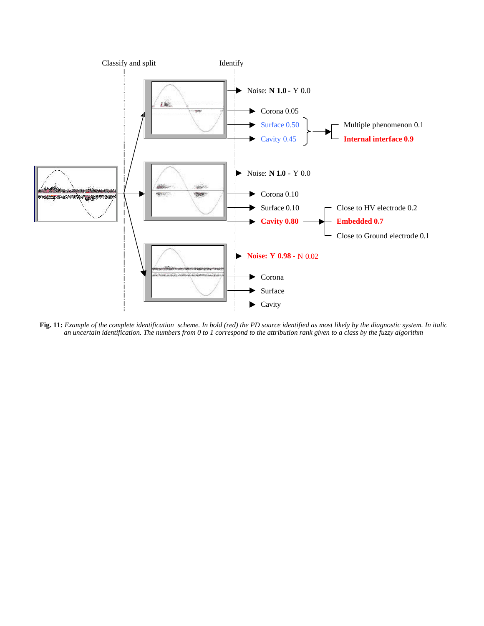

**Fig. 11:** *Example of the complete identification scheme. In bold (red) the PD source identified as most likely by the diagnostic system. In italic an uncertain identification. The numbers from 0 to 1 correspond to the attribution rank given to a class by the fuzzy algorithm*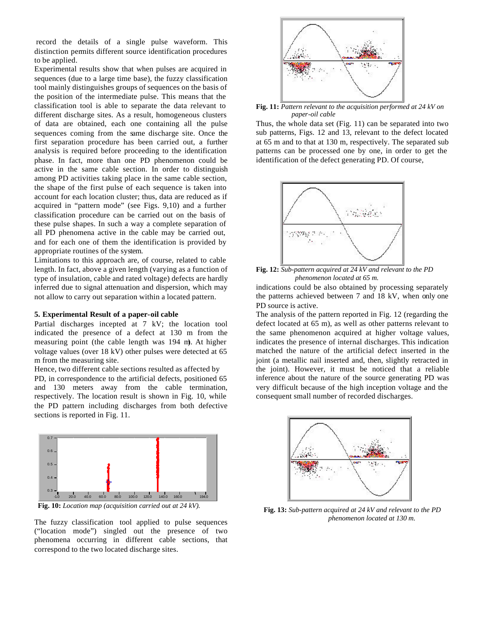record the details of a single pulse waveform. This distinction permits different source identification procedures to be applied.

Experimental results show that when pulses are acquired in sequences (due to a large time base), the fuzzy classification tool mainly distinguishes groups of sequences on the basis of the position of the intermediate pulse. This means that the classification tool is able to separate the data relevant to different discharge sites. As a result, homogeneous clusters of data are obtained, each one containing all the pulse sequences coming from the same discharge site. Once the first separation procedure has been carried out, a further analysis is required before proceeding to the identification phase. In fact, more than one PD phenomenon could be active in the same cable section. In order to distinguish among PD activities taking place in the same cable section, the shape of the first pulse of each sequence is taken into account for each location cluster; thus, data are reduced as if acquired in "pattern mode" (see Figs. 9,10) and a further classification procedure can be carried out on the basis of these pulse shapes. In such a way a complete separation of all PD phenomena active in the cable may be carried out, and for each one of them the identification is provided by appropriate routines of the system.

Limitations to this approach are, of course, related to cable length. In fact, above a given length (varying as a function of type of insulation, cable and rated voltage) defects are hardly inferred due to signal attenuation and dispersion, which may not allow to carry out separation within a located pattern.

## **5. Experimental Result of a paper-oil cable**

Partial discharges incepted at 7 kV; the location tool indicated the presence of a defect at 130 m from the measuring point (the cable length was 194 m). At higher voltage values (over 18 kV) other pulses were detected at 65 m from the measuring site.

Hence, two different cable sections resulted as affected by PD, in correspondence to the artificial defects, positioned 65 and 130 meters away from the cable termination, respectively. The location result is shown in Fig. 10, while the PD pattern including discharges from both defective sections is reported in Fig. 11.



**Fig. 10:** *Location map (acquisition carried out at 24 kV).*

The fuzzy classification tool applied to pulse sequences ("location mode") singled out the presence of two phenomena occurring in different cable sections, that correspond to the two located discharge sites.



**Fig. 11:** *Pattern relevant to the acquisition performed at 24 kV on paper-oil cable*

Thus, the whole data set (Fig. 11) can be separated into two sub patterns, Figs. 12 and 13, relevant to the defect located at 65 m and to that at 130 m, respectively. The separated sub patterns can be processed one by one, in order to get the identification of the defect generating PD. Of course,



**Fig. 12:** *Sub-pattern acquired at 24 kV and relevant to the PD phenomenon located at 65 m.*

indications could be also obtained by processing separately the patterns achieved between 7 and 18 kV, when only one PD source is active.

The analysis of the pattern reported in Fig. 12 (regarding the defect located at 65 m), as well as other patterns relevant to the same phenomenon acquired at higher voltage values, indicates the presence of internal discharges. This indication matched the nature of the artificial defect inserted in the joint (a metallic nail inserted and, then, slightly retracted in the joint). However, it must be noticed that a reliable inference about the nature of the source generating PD was very difficult because of the high inception voltage and the consequent small number of recorded discharges.



**Fig. 13:** *Sub-pattern acquired at 24 kV and relevant to the PD phenomenon located at 130 m.*